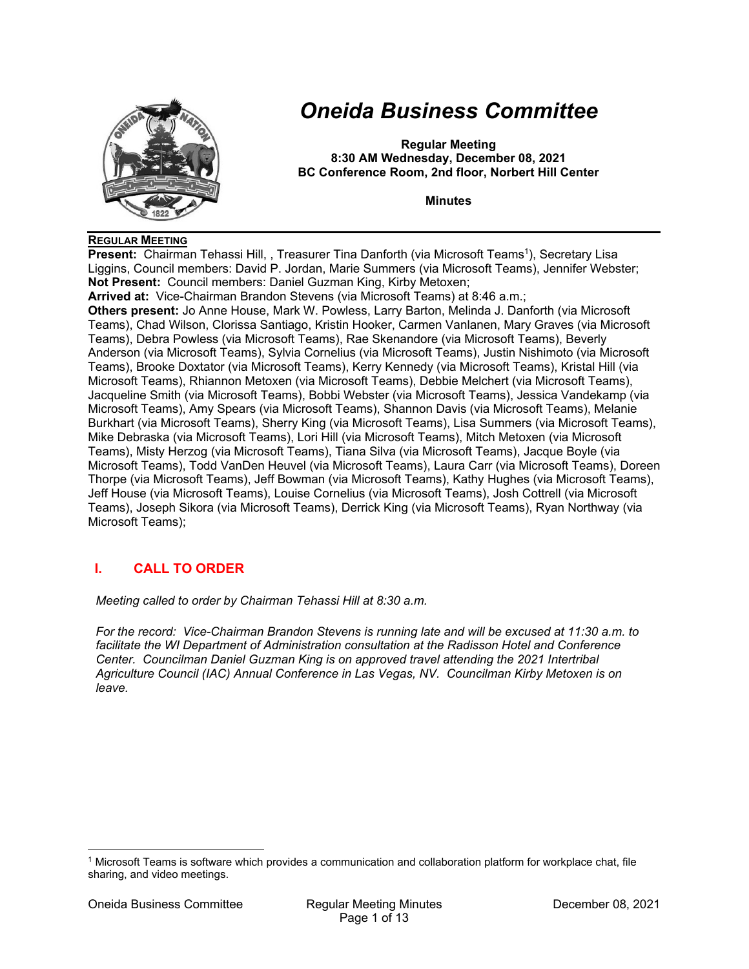

# *Oneida Business Committee*

**Regular Meeting 8:30 AM Wednesday, December 08, 2021 BC Conference Room, 2nd floor, Norbert Hill Center** 

**Minutes** 

#### **REGULAR MEETING**

**Present:** Chairman Tehassi Hill, , Treasurer Tina Danforth (via Microsoft Teams<sup>1</sup>), Secretary Lisa Liggins, Council members: David P. Jordan, Marie Summers (via Microsoft Teams), Jennifer Webster; **Not Present:** Council members: Daniel Guzman King, Kirby Metoxen; **Arrived at:** Vice-Chairman Brandon Stevens (via Microsoft Teams) at 8:46 a.m.; **Others present:** Jo Anne House, Mark W. Powless, Larry Barton, Melinda J. Danforth (via Microsoft Teams), Chad Wilson, Clorissa Santiago, Kristin Hooker, Carmen Vanlanen, Mary Graves (via Microsoft Teams), Debra Powless (via Microsoft Teams), Rae Skenandore (via Microsoft Teams), Beverly Anderson (via Microsoft Teams), Sylvia Cornelius (via Microsoft Teams), Justin Nishimoto (via Microsoft Teams), Brooke Doxtator (via Microsoft Teams), Kerry Kennedy (via Microsoft Teams), Kristal Hill (via Microsoft Teams), Rhiannon Metoxen (via Microsoft Teams), Debbie Melchert (via Microsoft Teams), Jacqueline Smith (via Microsoft Teams), Bobbi Webster (via Microsoft Teams), Jessica Vandekamp (via Microsoft Teams), Amy Spears (via Microsoft Teams), Shannon Davis (via Microsoft Teams), Melanie Burkhart (via Microsoft Teams), Sherry King (via Microsoft Teams), Lisa Summers (via Microsoft Teams), Mike Debraska (via Microsoft Teams), Lori Hill (via Microsoft Teams), Mitch Metoxen (via Microsoft Teams), Misty Herzog (via Microsoft Teams), Tiana Silva (via Microsoft Teams), Jacque Boyle (via Microsoft Teams), Todd VanDen Heuvel (via Microsoft Teams), Laura Carr (via Microsoft Teams), Doreen Thorpe (via Microsoft Teams), Jeff Bowman (via Microsoft Teams), Kathy Hughes (via Microsoft Teams), Jeff House (via Microsoft Teams), Louise Cornelius (via Microsoft Teams), Josh Cottrell (via Microsoft Teams), Joseph Sikora (via Microsoft Teams), Derrick King (via Microsoft Teams), Ryan Northway (via Microsoft Teams);

# **I. CALL TO ORDER**

*Meeting called to order by Chairman Tehassi Hill at 8:30 a.m.* 

*For the record: Vice-Chairman Brandon Stevens is running late and will be excused at 11:30 a.m. to facilitate the WI Department of Administration consultation at the Radisson Hotel and Conference Center. Councilman Daniel Guzman King is on approved travel attending the 2021 Intertribal Agriculture Council (IAC) Annual Conference in Las Vegas, NV. Councilman Kirby Metoxen is on leave.* 

<sup>1</sup> Microsoft Teams is software which provides a communication and collaboration platform for workplace chat, file sharing, and video meetings.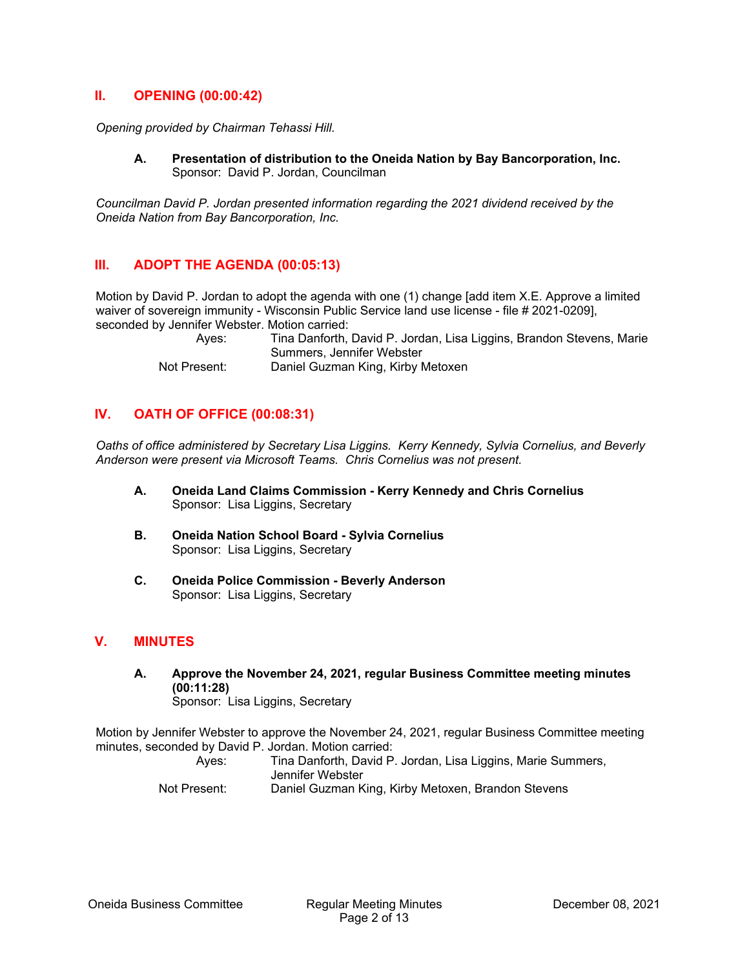## **II. OPENING (00:00:42)**

*Opening provided by Chairman Tehassi Hill.* 

**A. Presentation of distribution to the Oneida Nation by Bay Bancorporation, Inc.**  Sponsor: David P. Jordan, Councilman

*Councilman David P. Jordan presented information regarding the 2021 dividend received by the Oneida Nation from Bay Bancorporation, Inc.* 

## **III. ADOPT THE AGENDA (00:05:13)**

Motion by David P. Jordan to adopt the agenda with one (1) change [add item X.E. Approve a limited waiver of sovereign immunity - Wisconsin Public Service land use license - file # 2021-0209], seconded by Jennifer Webster. Motion carried:

> Ayes: Tina Danforth, David P. Jordan, Lisa Liggins, Brandon Stevens, Marie Summers, Jennifer Webster Not Present: Daniel Guzman King, Kirby Metoxen

## **IV. OATH OF OFFICE (00:08:31)**

*Oaths of office administered by Secretary Lisa Liggins. Kerry Kennedy, Sylvia Cornelius, and Beverly Anderson were present via Microsoft Teams. Chris Cornelius was not present.* 

- **A. Oneida Land Claims Commission Kerry Kennedy and Chris Cornelius**  Sponsor: Lisa Liggins, Secretary
- **B. Oneida Nation School Board Sylvia Cornelius**  Sponsor: Lisa Liggins, Secretary
- **C. Oneida Police Commission Beverly Anderson**  Sponsor: Lisa Liggins, Secretary

## **V. MINUTES**

**A. Approve the November 24, 2021, regular Business Committee meeting minutes (00:11:28)**  Sponsor: Lisa Liggins, Secretary

Motion by Jennifer Webster to approve the November 24, 2021, regular Business Committee meeting minutes, seconded by David P. Jordan. Motion carried:

Ayes: Tina Danforth, David P. Jordan, Lisa Liggins, Marie Summers, Jennifer Webster Not Present: Daniel Guzman King, Kirby Metoxen, Brandon Stevens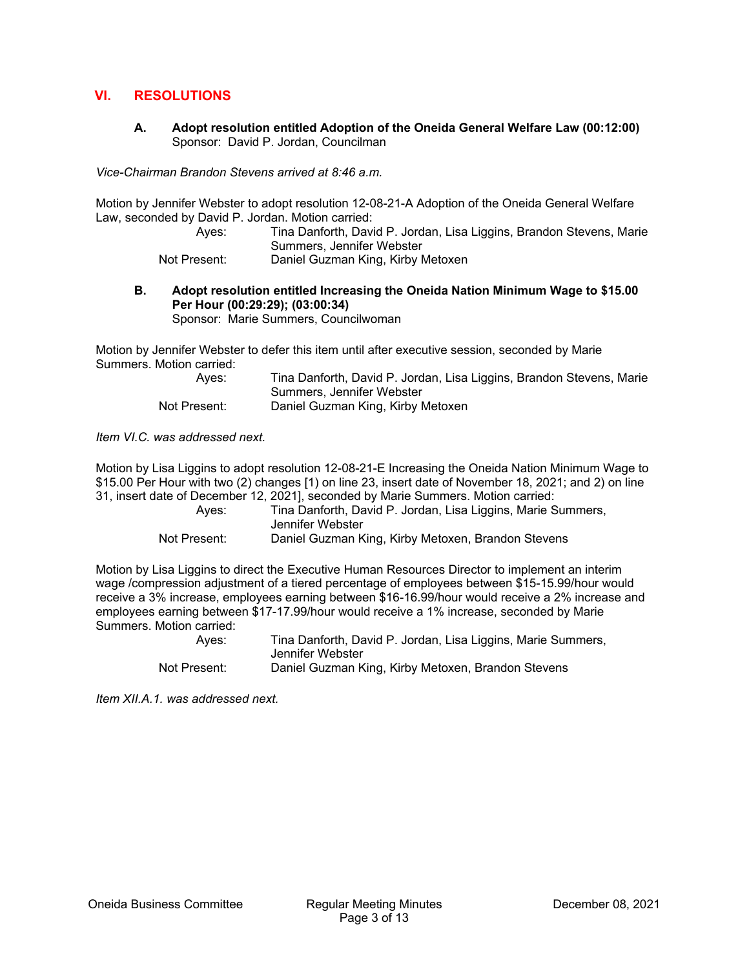## **VI. RESOLUTIONS**

**A. Adopt resolution entitled Adoption of the Oneida General Welfare Law (00:12:00)**  Sponsor: David P. Jordan, Councilman

*Vice-Chairman Brandon Stevens arrived at 8:46 a.m.* 

Motion by Jennifer Webster to adopt resolution 12-08-21-A Adoption of the Oneida General Welfare Law, seconded by David P. Jordan. Motion carried:

 Ayes: Tina Danforth, David P. Jordan, Lisa Liggins, Brandon Stevens, Marie Summers, Jennifer Webster Not Present: Daniel Guzman King, Kirby Metoxen

**B. Adopt resolution entitled Increasing the Oneida Nation Minimum Wage to \$15.00** 

Sponsor: Marie Summers, Councilwoman

Motion by Jennifer Webster to defer this item until after executive session, seconded by Marie Summers. Motion carried:

| Ayes:        | Tina Danforth, David P. Jordan, Lisa Liggins, Brandon Stevens, Marie |
|--------------|----------------------------------------------------------------------|
|              | Summers, Jennifer Webster                                            |
| Not Present: | Daniel Guzman King, Kirby Metoxen                                    |

*Item VI.C. was addressed next.* 

Motion by Lisa Liggins to adopt resolution 12-08-21-E Increasing the Oneida Nation Minimum Wage to \$15.00 Per Hour with two (2) changes [1) on line 23, insert date of November 18, 2021; and 2) on line 31, insert date of December 12, 2021], seconded by Marie Summers. Motion carried:

| Aves:        | Tina Danforth, David P. Jordan, Lisa Liggins, Marie Summers,<br>Jennifer Webster |
|--------------|----------------------------------------------------------------------------------|
| Not Present: | Daniel Guzman King, Kirby Metoxen, Brandon Stevens                               |

Motion by Lisa Liggins to direct the Executive Human Resources Director to implement an interim wage /compression adjustment of a tiered percentage of employees between \$15-15.99/hour would receive a 3% increase, employees earning between \$16-16.99/hour would receive a 2% increase and employees earning between \$17-17.99/hour would receive a 1% increase, seconded by Marie Summers. Motion carried:

| Aves:        | Tina Danforth, David P. Jordan, Lisa Liggins, Marie Summers,<br>Jennifer Webster |
|--------------|----------------------------------------------------------------------------------|
| Not Present: | Daniel Guzman King, Kirby Metoxen, Brandon Stevens                               |

*Item XII.A.1. was addressed next.* 

**Per Hour (00:29:29); (03:00:34)**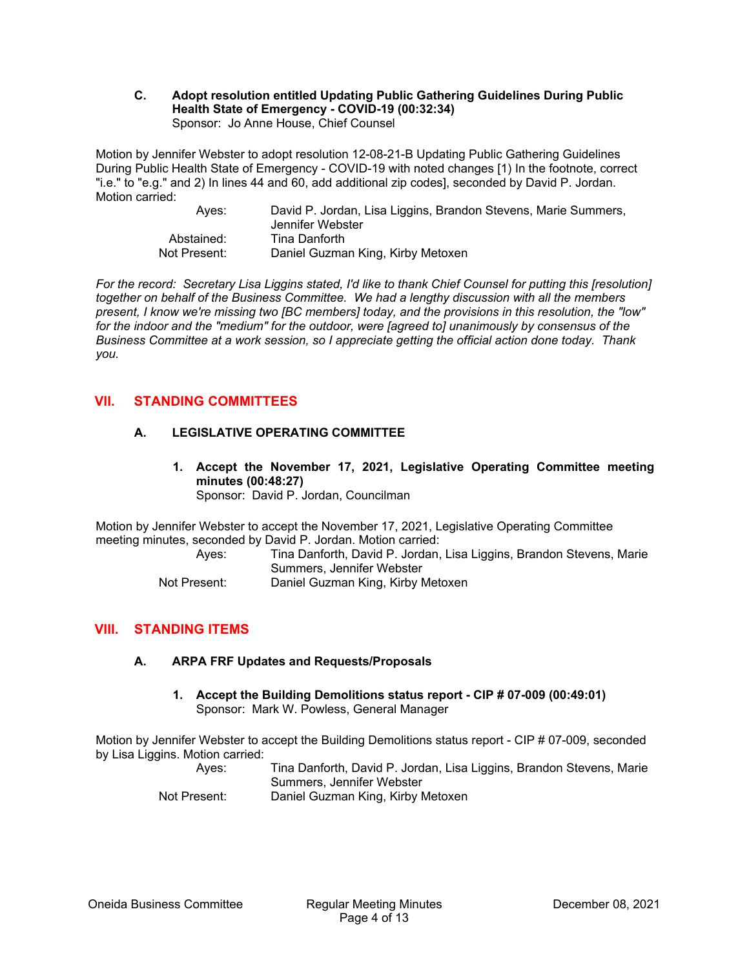#### **C. Adopt resolution entitled Updating Public Gathering Guidelines During Public Health State of Emergency - COVID-19 (00:32:34)**  Sponsor: Jo Anne House, Chief Counsel

Motion by Jennifer Webster to adopt resolution 12-08-21-B Updating Public Gathering Guidelines During Public Health State of Emergency - COVID-19 with noted changes [1) In the footnote, correct "i.e." to "e.g." and 2) In lines 44 and 60, add additional zip codes], seconded by David P. Jordan. Motion carried:

| Aves:        | David P. Jordan, Lisa Liggins, Brandon Stevens, Marie Summers,<br>Jennifer Webster |
|--------------|------------------------------------------------------------------------------------|
| Abstained:   | Tina Danforth                                                                      |
| Not Present: | Daniel Guzman King, Kirby Metoxen                                                  |

*For the record: Secretary Lisa Liggins stated, I'd like to thank Chief Counsel for putting this [resolution] together on behalf of the Business Committee. We had a lengthy discussion with all the members present, I know we're missing two [BC members] today, and the provisions in this resolution, the "low" for the indoor and the "medium" for the outdoor, were [agreed to] unanimously by consensus of the Business Committee at a work session, so I appreciate getting the official action done today. Thank you.* 

# **VII. STANDING COMMITTEES**

## **A. LEGISLATIVE OPERATING COMMITTEE**

**1. Accept the November 17, 2021, Legislative Operating Committee meeting minutes (00:48:27)**  Sponsor: David P. Jordan, Councilman

Motion by Jennifer Webster to accept the November 17, 2021, Legislative Operating Committee meeting minutes, seconded by David P. Jordan. Motion carried:

Ayes: Tina Danforth, David P. Jordan, Lisa Liggins, Brandon Stevens, Marie Summers, Jennifer Webster

## Not Present: Daniel Guzman King, Kirby Metoxen

# **VIII. STANDING ITEMS**

## **A. ARPA FRF Updates and Requests/Proposals**

**1. Accept the Building Demolitions status report - CIP # 07-009 (00:49:01)**  Sponsor: Mark W. Powless, General Manager

Motion by Jennifer Webster to accept the Building Demolitions status report - CIP # 07-009, seconded by Lisa Liggins. Motion carried:

 Ayes: Tina Danforth, David P. Jordan, Lisa Liggins, Brandon Stevens, Marie Summers, Jennifer Webster

Not Present: Daniel Guzman King, Kirby Metoxen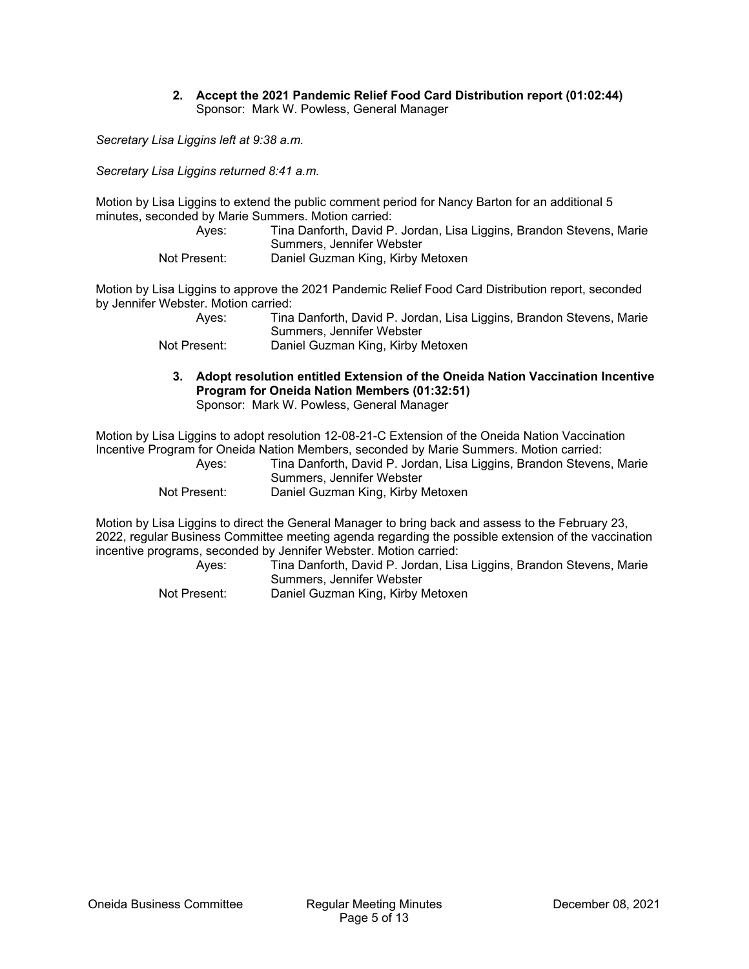#### **2. Accept the 2021 Pandemic Relief Food Card Distribution report (01:02:44)**  Sponsor: Mark W. Powless, General Manager

*Secretary Lisa Liggins left at 9:38 a.m.* 

*Secretary Lisa Liggins returned 8:41 a.m.* 

Motion by Lisa Liggins to extend the public comment period for Nancy Barton for an additional 5 minutes, seconded by Marie Summers. Motion carried:

| Ayes:        | Tina Danforth, David P. Jordan, Lisa Liggins, Brandon Stevens, Marie |
|--------------|----------------------------------------------------------------------|
|              | Summers, Jennifer Webster                                            |
| Not Present: | Daniel Guzman King, Kirby Metoxen                                    |

Motion by Lisa Liggins to approve the 2021 Pandemic Relief Food Card Distribution report, seconded by Jennifer Webster. Motion carried:

| Ayes:        | Tina Danforth, David P. Jordan, Lisa Liggins, Brandon Stevens, Marie |
|--------------|----------------------------------------------------------------------|
|              | Summers, Jennifer Webster                                            |
| Not Present: | Daniel Guzman King, Kirby Metoxen                                    |

**3. Adopt resolution entitled Extension of the Oneida Nation Vaccination Incentive Program for Oneida Nation Members (01:32:51)** 

Sponsor: Mark W. Powless, General Manager

Motion by Lisa Liggins to adopt resolution 12-08-21-C Extension of the Oneida Nation Vaccination Incentive Program for Oneida Nation Members, seconded by Marie Summers. Motion carried:

| Ayes:        | Tina Danforth, David P. Jordan, Lisa Liggins, Brandon Stevens, Marie |
|--------------|----------------------------------------------------------------------|
|              | Summers, Jennifer Webster                                            |
| Not Present: | Daniel Guzman King, Kirby Metoxen                                    |

Motion by Lisa Liggins to direct the General Manager to bring back and assess to the February 23, 2022, regular Business Committee meeting agenda regarding the possible extension of the vaccination incentive programs, seconded by Jennifer Webster. Motion carried:

 Ayes: Tina Danforth, David P. Jordan, Lisa Liggins, Brandon Stevens, Marie Summers, Jennifer Webster Not Present: Daniel Guzman King, Kirby Metoxen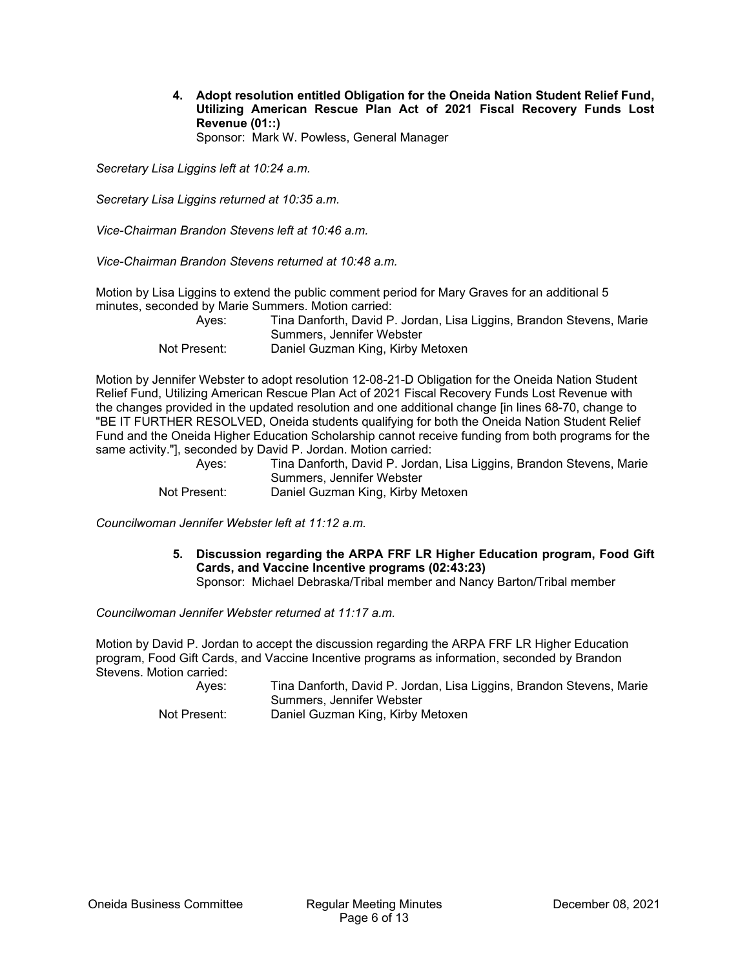**4. Adopt resolution entitled Obligation for the Oneida Nation Student Relief Fund, Utilizing American Rescue Plan Act of 2021 Fiscal Recovery Funds Lost Revenue (01::)**  Sponsor: Mark W. Powless, General Manager

*Secretary Lisa Liggins left at 10:24 a.m.* 

*Secretary Lisa Liggins returned at 10:35 a.m.* 

*Vice-Chairman Brandon Stevens left at 10:46 a.m.* 

*Vice-Chairman Brandon Stevens returned at 10:48 a.m.* 

Motion by Lisa Liggins to extend the public comment period for Mary Graves for an additional 5 minutes, seconded by Marie Summers. Motion carried:

| Ayes:        | Tina Danforth, David P. Jordan, Lisa Liggins, Brandon Stevens, Marie |
|--------------|----------------------------------------------------------------------|
|              | Summers, Jennifer Webster                                            |
| Not Present: | Daniel Guzman King, Kirby Metoxen                                    |

Motion by Jennifer Webster to adopt resolution 12-08-21-D Obligation for the Oneida Nation Student Relief Fund, Utilizing American Rescue Plan Act of 2021 Fiscal Recovery Funds Lost Revenue with the changes provided in the updated resolution and one additional change [in lines 68-70, change to "BE IT FURTHER RESOLVED, Oneida students qualifying for both the Oneida Nation Student Relief Fund and the Oneida Higher Education Scholarship cannot receive funding from both programs for the same activity."], seconded by David P. Jordan. Motion carried:

| Ayes:        | Tina Danforth, David P. Jordan, Lisa Liggins, Brandon Stevens, Marie |
|--------------|----------------------------------------------------------------------|
|              | Summers, Jennifer Webster                                            |
| Not Present: | Daniel Guzman King, Kirby Metoxen                                    |

*Councilwoman Jennifer Webster left at 11:12 a.m.* 

**5. Discussion regarding the ARPA FRF LR Higher Education program, Food Gift Cards, and Vaccine Incentive programs (02:43:23)** 

Sponsor: Michael Debraska/Tribal member and Nancy Barton/Tribal member

*Councilwoman Jennifer Webster returned at 11:17 a.m.* 

Motion by David P. Jordan to accept the discussion regarding the ARPA FRF LR Higher Education program, Food Gift Cards, and Vaccine Incentive programs as information, seconded by Brandon Stevens. Motion carried:

| Ayes:        | Tina Danforth, David P. Jordan, Lisa Liggins, Brandon Stevens, Marie |
|--------------|----------------------------------------------------------------------|
|              | Summers, Jennifer Webster                                            |
| Not Present: | Daniel Guzman King, Kirby Metoxen                                    |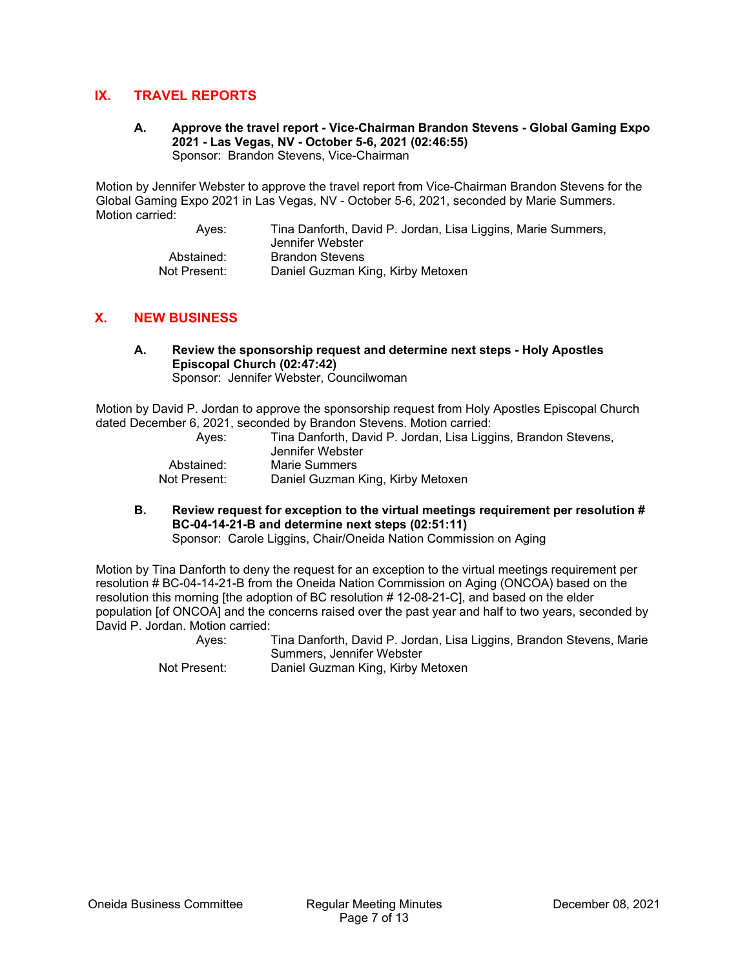## **IX. TRAVEL REPORTS**

**A. Approve the travel report - Vice-Chairman Brandon Stevens - Global Gaming Expo 2021 - Las Vegas, NV - October 5-6, 2021 (02:46:55)**  Sponsor: Brandon Stevens, Vice-Chairman

Motion by Jennifer Webster to approve the travel report from Vice-Chairman Brandon Stevens for the Global Gaming Expo 2021 in Las Vegas, NV - October 5-6, 2021, seconded by Marie Summers. Motion carried:

> Ayes: Tina Danforth, David P. Jordan, Lisa Liggins, Marie Summers, Jennifer Webster Abstained: Brandon Stevens Not Present: Daniel Guzman King, Kirby Metoxen

## **X. NEW BUSINESS**

**A. Review the sponsorship request and determine next steps - Holy Apostles Episcopal Church (02:47:42)**  Sponsor: Jennifer Webster, Councilwoman

Motion by David P. Jordan to approve the sponsorship request from Holy Apostles Episcopal Church dated December 6, 2021, seconded by Brandon Stevens. Motion carried:

| Aves:        | Tina Danforth, David P. Jordan, Lisa Liggins, Brandon Stevens,<br>Jennifer Webster |
|--------------|------------------------------------------------------------------------------------|
| Abstained:   | Marie Summers                                                                      |
| Not Present: | Daniel Guzman King, Kirby Metoxen                                                  |

**B. Review request for exception to the virtual meetings requirement per resolution # BC-04-14-21-B and determine next steps (02:51:11)** 

Sponsor: Carole Liggins, Chair/Oneida Nation Commission on Aging

Motion by Tina Danforth to deny the request for an exception to the virtual meetings requirement per resolution # BC-04-14-21-B from the Oneida Nation Commission on Aging (ONCOA) based on the resolution this morning [the adoption of BC resolution # 12-08-21-C], and based on the elder population [of ONCOA] and the concerns raised over the past year and half to two years, seconded by David P. Jordan. Motion carried:

> Ayes: Tina Danforth, David P. Jordan, Lisa Liggins, Brandon Stevens, Marie Summers, Jennifer Webster

Not Present: Daniel Guzman King, Kirby Metoxen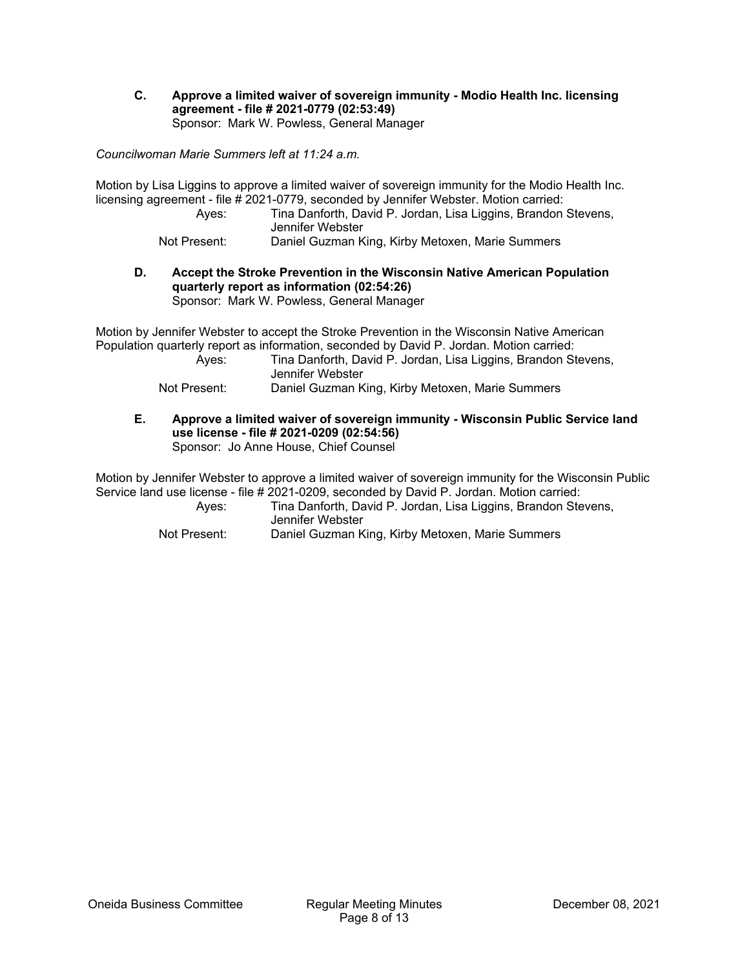**C. Approve a limited waiver of sovereign immunity - Modio Health Inc. licensing agreement - file # 2021-0779 (02:53:49)**  Sponsor: Mark W. Powless, General Manager

*Councilwoman Marie Summers left at 11:24 a.m.* 

Motion by Lisa Liggins to approve a limited waiver of sovereign immunity for the Modio Health Inc. licensing agreement - file # 2021-0779, seconded by Jennifer Webster. Motion carried:

- Ayes: Tina Danforth, David P. Jordan, Lisa Liggins, Brandon Stevens, Jennifer Webster
- Not Present: Daniel Guzman King, Kirby Metoxen, Marie Summers
- **D. Accept the Stroke Prevention in the Wisconsin Native American Population quarterly report as information (02:54:26)**

Sponsor: Mark W. Powless, General Manager

Motion by Jennifer Webster to accept the Stroke Prevention in the Wisconsin Native American Population quarterly report as information, seconded by David P. Jordan. Motion carried:

| Aves:        | Tina Danforth, David P. Jordan, Lisa Liggins, Brandon Stevens,<br>Jennifer Webster |
|--------------|------------------------------------------------------------------------------------|
| Not Present: | Daniel Guzman King, Kirby Metoxen, Marie Summers                                   |

**E. Approve a limited waiver of sovereign immunity - Wisconsin Public Service land use license - file # 2021-0209 (02:54:56)**  Sponsor: Jo Anne House, Chief Counsel

Motion by Jennifer Webster to approve a limited waiver of sovereign immunity for the Wisconsin Public Service land use license - file # 2021-0209, seconded by David P. Jordan. Motion carried:

| Aves:        | Tina Danforth, David P. Jordan, Lisa Liggins, Brandon Stevens,<br>Jennifer Webster |
|--------------|------------------------------------------------------------------------------------|
| Not Present: | Daniel Guzman King, Kirby Metoxen, Marie Summers                                   |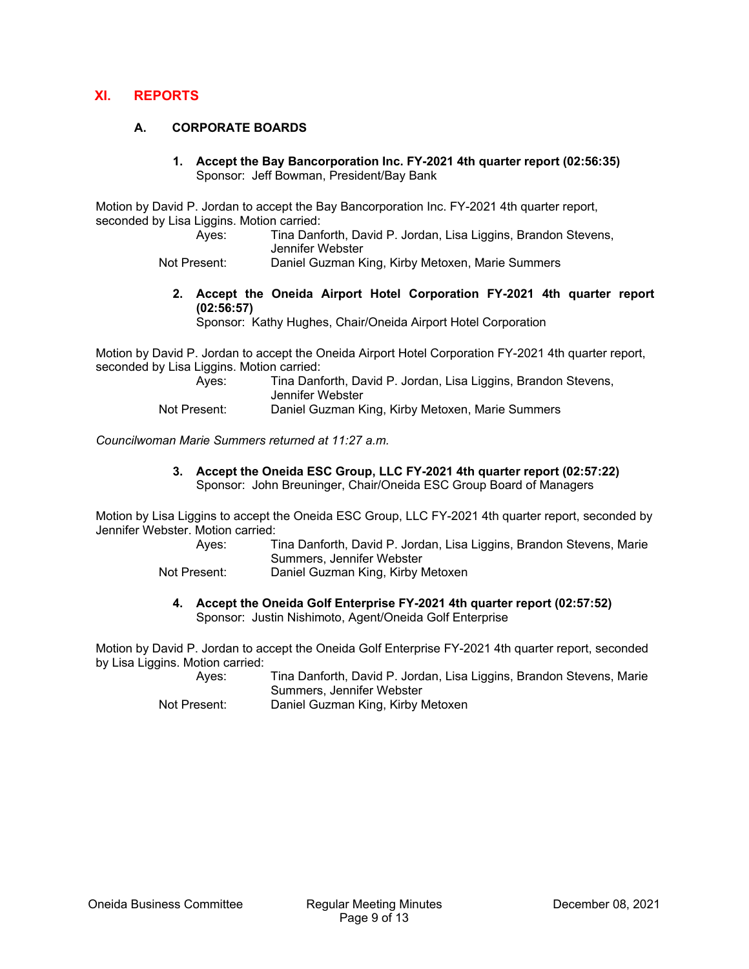## **XI. REPORTS**

## **A. CORPORATE BOARDS**

**1. Accept the Bay Bancorporation Inc. FY-2021 4th quarter report (02:56:35)**  Sponsor: Jeff Bowman, President/Bay Bank

Motion by David P. Jordan to accept the Bay Bancorporation Inc. FY-2021 4th quarter report, seconded by Lisa Liggins. Motion carried:

 Ayes: Tina Danforth, David P. Jordan, Lisa Liggins, Brandon Stevens, Jennifer Webster

Not Present: Daniel Guzman King, Kirby Metoxen, Marie Summers

**2. Accept the Oneida Airport Hotel Corporation FY-2021 4th quarter report (02:56:57)** 

Sponsor: Kathy Hughes, Chair/Oneida Airport Hotel Corporation

Motion by David P. Jordan to accept the Oneida Airport Hotel Corporation FY-2021 4th quarter report, seconded by Lisa Liggins. Motion carried:

Ayes: Tina Danforth, David P. Jordan, Lisa Liggins, Brandon Stevens, Jennifer Webster

Not Present: Daniel Guzman King, Kirby Metoxen, Marie Summers

*Councilwoman Marie Summers returned at 11:27 a.m.* 

**3. Accept the Oneida ESC Group, LLC FY-2021 4th quarter report (02:57:22)**  Sponsor: John Breuninger, Chair/Oneida ESC Group Board of Managers

Motion by Lisa Liggins to accept the Oneida ESC Group, LLC FY-2021 4th quarter report, seconded by Jennifer Webster. Motion carried:

- Ayes: Tina Danforth, David P. Jordan, Lisa Liggins, Brandon Stevens, Marie Summers, Jennifer Webster
- Not Present: Daniel Guzman King, Kirby Metoxen
	- **4. Accept the Oneida Golf Enterprise FY-2021 4th quarter report (02:57:52)**  Sponsor: Justin Nishimoto, Agent/Oneida Golf Enterprise

Motion by David P. Jordan to accept the Oneida Golf Enterprise FY-2021 4th quarter report, seconded by Lisa Liggins. Motion carried:

 Ayes: Tina Danforth, David P. Jordan, Lisa Liggins, Brandon Stevens, Marie Summers, Jennifer Webster

Not Present: Daniel Guzman King, Kirby Metoxen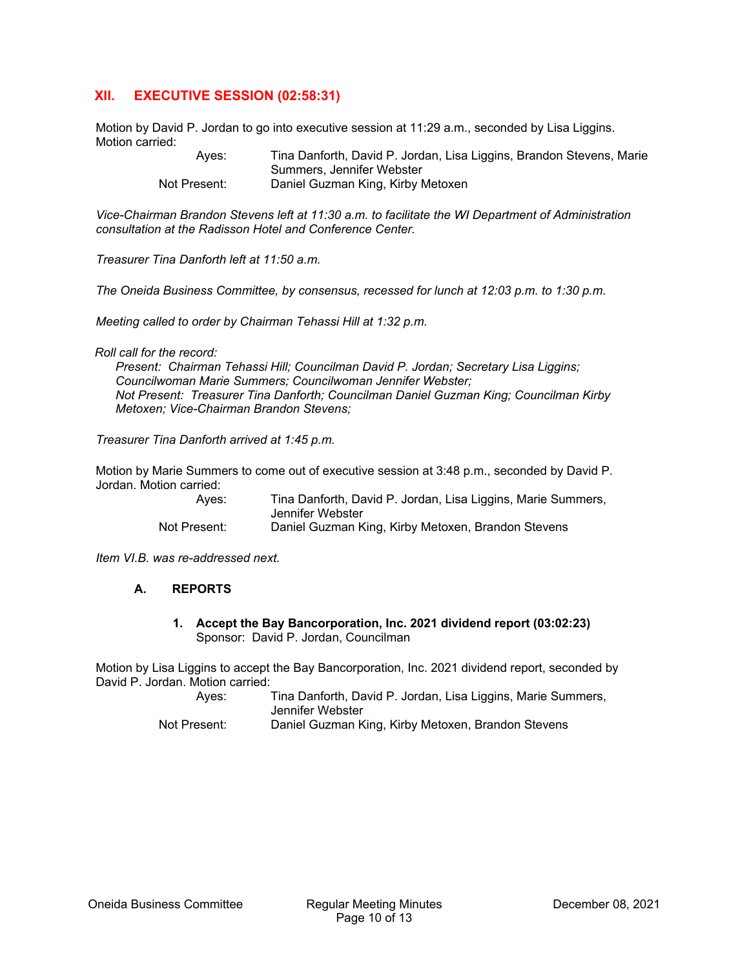# **XII. EXECUTIVE SESSION (02:58:31)**

Motion by David P. Jordan to go into executive session at 11:29 a.m., seconded by Lisa Liggins. Motion carried:

 Ayes: Tina Danforth, David P. Jordan, Lisa Liggins, Brandon Stevens, Marie Summers, Jennifer Webster Not Present: Daniel Guzman King, Kirby Metoxen

*Vice-Chairman Brandon Stevens left at 11:30 a.m. to facilitate the WI Department of Administration consultation at the Radisson Hotel and Conference Center.* 

*Treasurer Tina Danforth left at 11:50 a.m.* 

*The Oneida Business Committee, by consensus, recessed for lunch at 12:03 p.m. to 1:30 p.m.* 

*Meeting called to order by Chairman Tehassi Hill at 1:32 p.m.* 

*Roll call for the record:* 

*Present: Chairman Tehassi Hill; Councilman David P. Jordan; Secretary Lisa Liggins; Councilwoman Marie Summers; Councilwoman Jennifer Webster; Not Present: Treasurer Tina Danforth; Councilman Daniel Guzman King; Councilman Kirby Metoxen; Vice-Chairman Brandon Stevens;* 

*Treasurer Tina Danforth arrived at 1:45 p.m.* 

Motion by Marie Summers to come out of executive session at 3:48 p.m., seconded by David P. Jordan. Motion carried:

| Ayes:        | Tina Danforth, David P. Jordan, Lisa Liggins, Marie Summers, |
|--------------|--------------------------------------------------------------|
|              | Jennifer Webster                                             |
| Not Present: | Daniel Guzman King, Kirby Metoxen, Brandon Stevens           |

*Item VI.B. was re-addressed next.* 

#### **A. REPORTS**

**1. Accept the Bay Bancorporation, Inc. 2021 dividend report (03:02:23)**  Sponsor: David P. Jordan, Councilman

Motion by Lisa Liggins to accept the Bay Bancorporation, Inc. 2021 dividend report, seconded by David P. Jordan. Motion carried:

 Ayes: Tina Danforth, David P. Jordan, Lisa Liggins, Marie Summers, Jennifer Webster Not Present: Daniel Guzman King, Kirby Metoxen, Brandon Stevens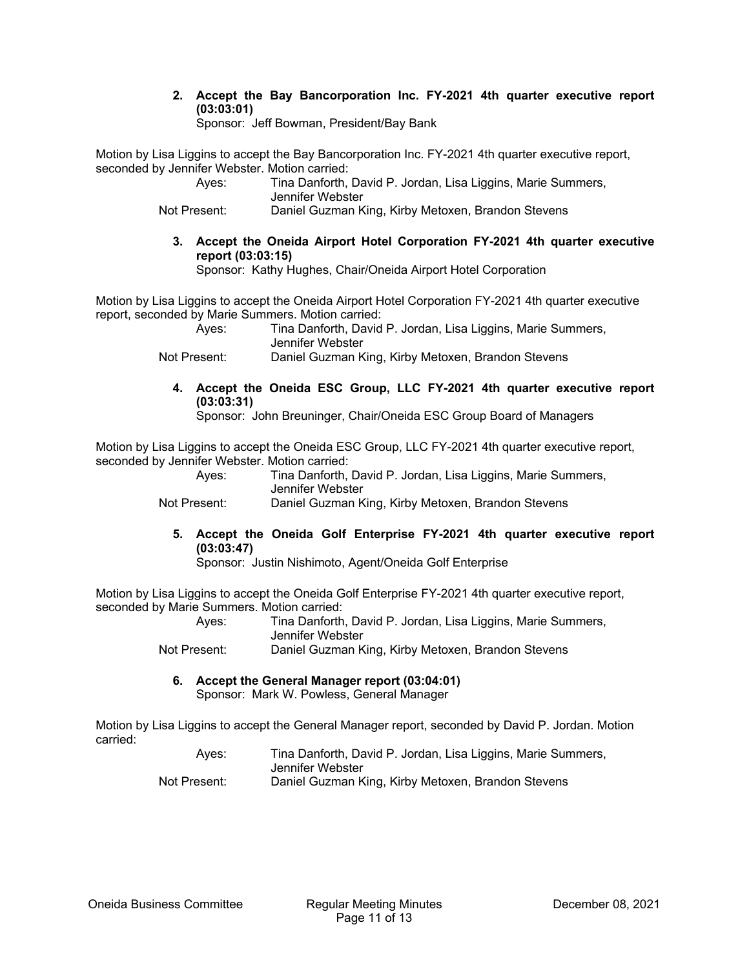**2. Accept the Bay Bancorporation Inc. FY-2021 4th quarter executive report (03:03:01)** 

Sponsor: Jeff Bowman, President/Bay Bank

Motion by Lisa Liggins to accept the Bay Bancorporation Inc. FY-2021 4th quarter executive report, seconded by Jennifer Webster. Motion carried:

| Aves:        | Tina Danforth, David P. Jordan, Lisa Liggins, Marie Summers, |
|--------------|--------------------------------------------------------------|
|              | Jennifer Webster                                             |
| Not Present: | Daniel Guzman King, Kirby Metoxen, Brandon Stevens           |

**3. Accept the Oneida Airport Hotel Corporation FY-2021 4th quarter executive report (03:03:15)** 

Sponsor: Kathy Hughes, Chair/Oneida Airport Hotel Corporation

Motion by Lisa Liggins to accept the Oneida Airport Hotel Corporation FY-2021 4th quarter executive report, seconded by Marie Summers. Motion carried:

 Ayes: Tina Danforth, David P. Jordan, Lisa Liggins, Marie Summers, Jennifer Webster

- Not Present: Daniel Guzman King, Kirby Metoxen, Brandon Stevens
	- **4. Accept the Oneida ESC Group, LLC FY-2021 4th quarter executive report (03:03:31)**

Sponsor: John Breuninger, Chair/Oneida ESC Group Board of Managers

Motion by Lisa Liggins to accept the Oneida ESC Group, LLC FY-2021 4th quarter executive report, seconded by Jennifer Webster. Motion carried:

Ayes: Tina Danforth, David P. Jordan, Lisa Liggins, Marie Summers, Jennifer Webster

Not Present: Daniel Guzman King, Kirby Metoxen, Brandon Stevens

**5. Accept the Oneida Golf Enterprise FY-2021 4th quarter executive report (03:03:47)** 

Sponsor: Justin Nishimoto, Agent/Oneida Golf Enterprise

Motion by Lisa Liggins to accept the Oneida Golf Enterprise FY-2021 4th quarter executive report, seconded by Marie Summers. Motion carried:

 Ayes: Tina Danforth, David P. Jordan, Lisa Liggins, Marie Summers, Jennifer Webster

Not Present: Daniel Guzman King, Kirby Metoxen, Brandon Stevens

**6. Accept the General Manager report (03:04:01)**  Sponsor: Mark W. Powless, General Manager

Motion by Lisa Liggins to accept the General Manager report, seconded by David P. Jordan. Motion carried:

| Aves:        | Tina Danforth, David P. Jordan, Lisa Liggins, Marie Summers, |
|--------------|--------------------------------------------------------------|
|              | Jennifer Webster                                             |
| Not Present: | Daniel Guzman King, Kirby Metoxen, Brandon Stevens           |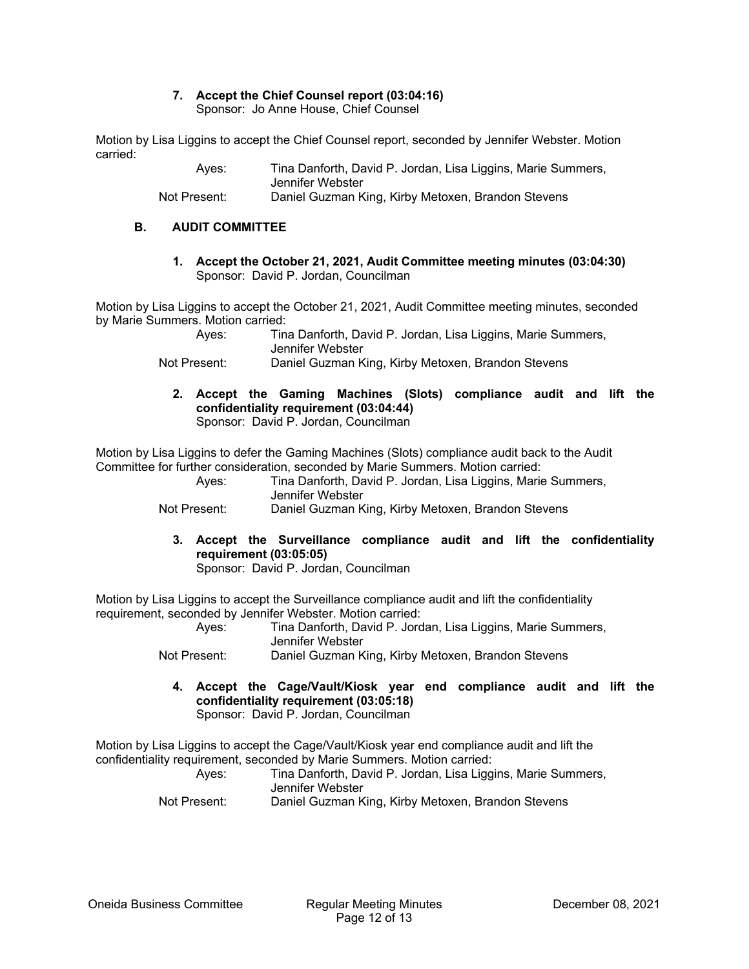## **7. Accept the Chief Counsel report (03:04:16)**

Sponsor: Jo Anne House, Chief Counsel

Motion by Lisa Liggins to accept the Chief Counsel report, seconded by Jennifer Webster. Motion carried:

| Aves:        | Tina Danforth, David P. Jordan, Lisa Liggins, Marie Summers, |
|--------------|--------------------------------------------------------------|
|              | Jennifer Webster                                             |
| Not Present: | Daniel Guzman King, Kirby Metoxen, Brandon Stevens           |

#### **B. AUDIT COMMITTEE**

**1. Accept the October 21, 2021, Audit Committee meeting minutes (03:04:30)**  Sponsor: David P. Jordan, Councilman

Motion by Lisa Liggins to accept the October 21, 2021, Audit Committee meeting minutes, seconded by Marie Summers. Motion carried:

| Aves: | Tina Danforth, David P. Jordan, Lisa Liggins, Marie Summers, |
|-------|--------------------------------------------------------------|
|       | Jennifer Webster                                             |

Not Present: Daniel Guzman King, Kirby Metoxen, Brandon Stevens

**2. Accept the Gaming Machines (Slots) compliance audit and lift the confidentiality requirement (03:04:44)**  Sponsor: David P. Jordan, Councilman

Motion by Lisa Liggins to defer the Gaming Machines (Slots) compliance audit back to the Audit Committee for further consideration, seconded by Marie Summers. Motion carried:

| Aves:        | Tina Danforth, David P. Jordan, Lisa Liggins, Marie Summers,<br>Jennifer Webster |
|--------------|----------------------------------------------------------------------------------|
| Not Present: | Daniel Guzman King, Kirby Metoxen, Brandon Stevens                               |

**3. Accept the Surveillance compliance audit and lift the confidentiality requirement (03:05:05)** 

Sponsor: David P. Jordan, Councilman

Motion by Lisa Liggins to accept the Surveillance compliance audit and lift the confidentiality requirement, seconded by Jennifer Webster. Motion carried:

| and the contract of the contract of the contract of the contract of the contract of the contract of the contract of | Aves:        | Tina Danforth, David P. Jordan, Lisa Liggins, Marie Summers,<br>Jennifer Webster |
|---------------------------------------------------------------------------------------------------------------------|--------------|----------------------------------------------------------------------------------|
|                                                                                                                     | Not Drooppti | Depial Curmon King Kirby Motovon, Prandon Stoveno                                |

Not Present: Daniel Guzman King, Kirby Metoxen, Brandon Stevens

**4. Accept the Cage/Vault/Kiosk year end compliance audit and lift the confidentiality requirement (03:05:18)**  Sponsor: David P. Jordan, Councilman

Motion by Lisa Liggins to accept the Cage/Vault/Kiosk year end compliance audit and lift the confidentiality requirement, seconded by Marie Summers. Motion carried:

| Aves:        | Tina Danforth, David P. Jordan, Lisa Liggins, Marie Summers,<br>Jennifer Webster |
|--------------|----------------------------------------------------------------------------------|
| Not Present: | Daniel Guzman King, Kirby Metoxen, Brandon Stevens                               |